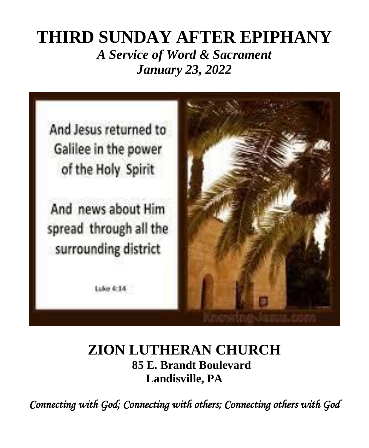# **THIRD SUNDAY AFTER EPIPHANY** *A Service of Word & Sacrament January 23, 2022*



# **ZION LUTHERAN CHURCH 85 E. Brandt Boulevard Landisville, PA**

*Connecting with God; Connecting with others; Connecting others with God*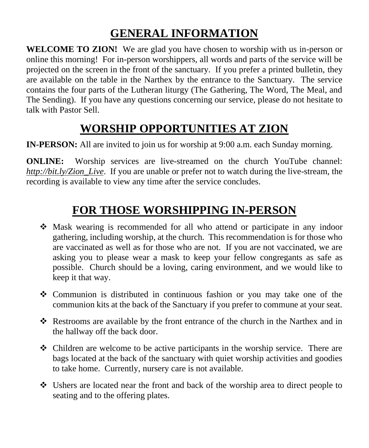# **GENERAL INFORMATION**

**WELCOME TO ZION!** We are glad you have chosen to worship with us in-person or online this morning! For in-person worshippers, all words and parts of the service will be projected on the screen in the front of the sanctuary. If you prefer a printed bulletin, they are available on the table in the Narthex by the entrance to the Sanctuary. The service contains the four parts of the Lutheran liturgy (The Gathering, The Word, The Meal, and The Sending). If you have any questions concerning our service, please do not hesitate to talk with Pastor Sell.

# **WORSHIP OPPORTUNITIES AT ZION**

**IN-PERSON:** All are invited to join us for worship at 9:00 a.m. each Sunday morning.

**ONLINE:** Worship services are live-streamed on the church YouTube channel: *[http://bit.ly/Zion\\_Live](http://bit.ly/Zion_Live).* If you are unable or prefer not to watch during the live-stream, the recording is available to view any time after the service concludes.

# **FOR THOSE WORSHIPPING IN-PERSON**

- ❖ Mask wearing is recommended for all who attend or participate in any indoor gathering, including worship, at the church. This recommendation is for those who are vaccinated as well as for those who are not. If you are not vaccinated, we are asking you to please wear a mask to keep your fellow congregants as safe as possible. Church should be a loving, caring environment, and we would like to keep it that way.
- ❖ Communion is distributed in continuous fashion or you may take one of the communion kits at the back of the Sanctuary if you prefer to commune at your seat.
- ❖ Restrooms are available by the front entrance of the church in the Narthex and in the hallway off the back door.
- ❖ Children are welcome to be active participants in the worship service. There are bags located at the back of the sanctuary with quiet worship activities and goodies to take home. Currently, nursery care is not available.
- ❖ Ushers are located near the front and back of the worship area to direct people to seating and to the offering plates.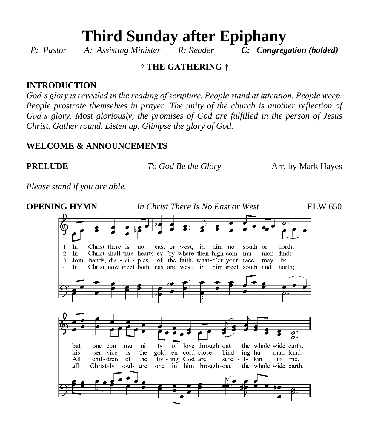# **Third Sunday after Epiphany**

*P: Pastor A: Assisting Minister R: Reader C: Congregation (bolded)*

**† THE GATHERING †**

#### **INTRODUCTION**

*God's glory is revealed in the reading of scripture. People stand at attention. People weep. People prostrate themselves in prayer. The unity of the church is another reflection of God's glory. Most gloriously, the promises of God are fulfilled in the person of Jesus Christ. Gather round. Listen up. Glimpse the glory of God.*

#### **WELCOME & ANNOUNCEMENTS**

**PRELUDE** *To God Be the Glory* Arr. by Mark Hayes

*Please stand if you are able.* 

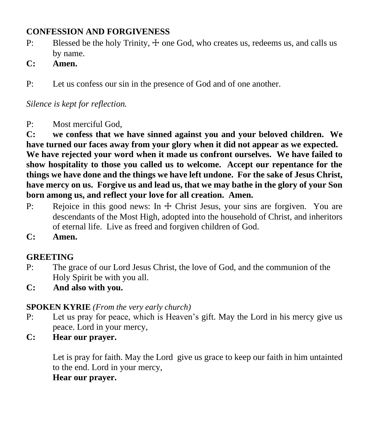#### **CONFESSION AND FORGIVENESS**

- P: Blessed be the holy Trinity,  $\pm$  one God, who creates us, redeems us, and calls us by name.
- **C: Amen.**
- P: Let us confess our sin in the presence of God and of one another.

*Silence is kept for reflection.*

P: Most merciful God,

**C: we confess that we have sinned against you and your beloved children. We have turned our faces away from your glory when it did not appear as we expected. We have rejected your word when it made us confront ourselves. We have failed to show hospitality to those you called us to welcome. Accept our repentance for the things we have done and the things we have left undone. For the sake of Jesus Christ, have mercy on us. Forgive us and lead us, that we may bathe in the glory of your Son born among us, and reflect your love for all creation. Amen.** 

- P: Rejoice in this good news: In  $\pm$  Christ Jesus, your sins are forgiven. You are descendants of the Most High, adopted into the household of Christ, and inheritors of eternal life. Live as freed and forgiven children of God.
- **C: Amen.**

# **GREETING**

- P: The grace of our Lord Jesus Christ, the love of God, and the communion of the Holy Spirit be with you all.
- **C: And also with you.**

# **SPOKEN KYRIE** *(From the very early church)*

- P: Let us pray for peace, which is Heaven's gift. May the Lord in his mercy give us peace. Lord in your mercy,
- **C: Hear our prayer.**

Let is pray for faith. May the Lord give us grace to keep our faith in him untainted to the end. Lord in your mercy,

# **Hear our prayer.**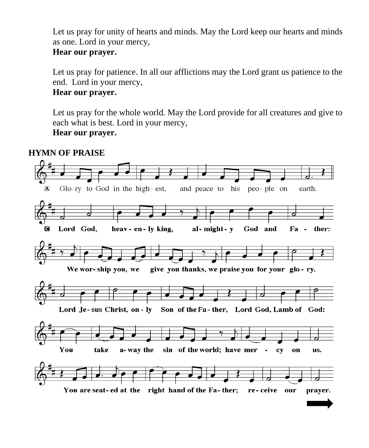Let us pray for unity of hearts and minds. May the Lord keep our hearts and minds as one. Lord in your mercy,

#### **Hear our prayer.**

Let us pray for patience. In all our afflictions may the Lord grant us patience to the end. Lord in your mercy,

#### **Hear our prayer.**

Let us pray for the whole world. May the Lord provide for all creatures and give to each what is best. Lord in your mercy, **Hear our prayer.**



#### **HYMN OF PRAISE**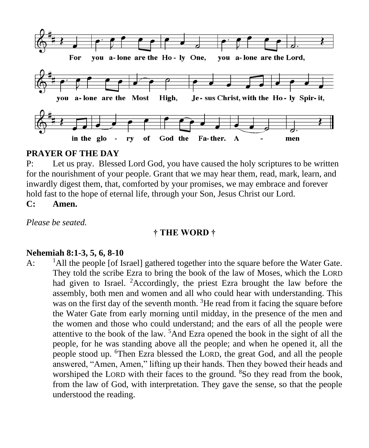

#### **PRAYER OF THE DAY**

P: Let us pray. Blessed Lord God, you have caused the holy scriptures to be written for the nourishment of your people. Grant that we may hear them, read, mark, learn, and inwardly digest them, that, comforted by your promises, we may embrace and forever hold fast to the hope of eternal life, through your Son, Jesus Christ our Lord.

**C: Amen.**

*Please be seated.*

#### **† THE WORD †**

#### **Nehemiah 8:1-3, 5, 6, 8-10**

A:  $1$ <sup>1</sup>All the people [of Israel] gathered together into the square before the Water Gate. They told the scribe Ezra to bring the book of the law of Moses, which the LORD had given to Israel. <sup>2</sup>Accordingly, the priest Ezra brought the law before the assembly, both men and women and all who could hear with understanding. This was on the first day of the seventh month. <sup>3</sup>He read from it facing the square before the Water Gate from early morning until midday, in the presence of the men and the women and those who could understand; and the ears of all the people were attentive to the book of the law. <sup>5</sup>And Ezra opened the book in the sight of all the people, for he was standing above all the people; and when he opened it, all the people stood up. <sup>6</sup>Then Ezra blessed the LORD, the great God, and all the people answered, "Amen, Amen," lifting up their hands. Then they bowed their heads and worshiped the LORD with their faces to the ground.  $8$ So they read from the book, from the law of God, with interpretation. They gave the sense, so that the people understood the reading.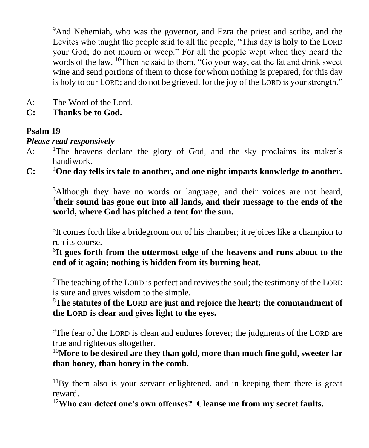<sup>9</sup>And Nehemiah, who was the governor, and Ezra the priest and scribe, and the Levites who taught the people said to all the people, "This day is holy to the LORD your God; do not mourn or weep." For all the people wept when they heard the words of the law. <sup>10</sup>Then he said to them, "Go your way, eat the fat and drink sweet wine and send portions of them to those for whom nothing is prepared, for this day is holy to our LORD; and do not be grieved, for the joy of the LORD is your strength."

- A: The Word of the Lord.
- **C: Thanks be to God.**

# **Psalm 19**

# *Please read responsively*

- A: <sup>1</sup>The heavens declare the glory of God, and the sky proclaims its maker's handiwork.
- **C:** <sup>2</sup>**One day tells its tale to another, and one night imparts knowledge to another.**

<sup>3</sup>Although they have no words or language, and their voices are not heard, 4 **their sound has gone out into all lands, and their message to the ends of the world, where God has pitched a tent for the sun.**

<sup>5</sup>It comes forth like a bridegroom out of his chamber; it rejoices like a champion to run its course.

6 **It goes forth from the uttermost edge of the heavens and runs about to the end of it again; nothing is hidden from its burning heat.**

<sup>7</sup>The teaching of the LORD is perfect and revives the soul; the testimony of the LORD is sure and gives wisdom to the simple.

<sup>8</sup>**The statutes of the LORD are just and rejoice the heart; the commandment of the LORD is clear and gives light to the eyes.**

 $9$ The fear of the LORD is clean and endures forever; the judgments of the LORD are true and righteous altogether.

<sup>10</sup>**More to be desired are they than gold, more than much fine gold, sweeter far than honey, than honey in the comb.**

 $11$ By them also is your servant enlightened, and in keeping them there is great reward.

<sup>12</sup>**Who can detect one's own offenses? Cleanse me from my secret faults.**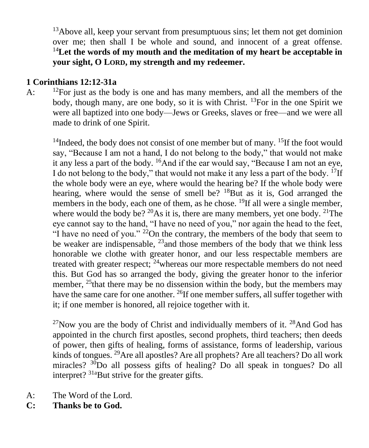$13A$ bove all, keep your servant from presumptuous sins; let them not get dominion over me; then shall I be whole and sound, and innocent of a great offense. <sup>14</sup>Let the words of my mouth and the meditation of my heart be acceptable in **your sight, O LORD, my strength and my redeemer.**

#### **1 Corinthians 12:12-31a**

A:  $12$ For just as the body is one and has many members, and all the members of the body, though many, are one body, so it is with Christ. <sup>13</sup>For in the one Spirit we were all baptized into one body—Jews or Greeks, slaves or free—and we were all made to drink of one Spirit.

<sup>14</sup>Indeed, the body does not consist of one member but of many. <sup>15</sup>If the foot would say, "Because I am not a hand, I do not belong to the body," that would not make it any less a part of the body.  $^{16}$ And if the ear would say, "Because I am not an eye, I do not belong to the body," that would not make it any less a part of the body.  $^{17}$ If the whole body were an eye, where would the hearing be? If the whole body were hearing, where would the sense of smell be?  $18$ But as it is, God arranged the members in the body, each one of them, as he chose. <sup>19</sup>If all were a single member, where would the body be?  $20\text{As}$  it is, there are many members, yet one body.  $21\text{The}$ eye cannot say to the hand, "I have no need of you," nor again the head to the feet, "I have no need of you."  $^{22}$ On the contrary, the members of the body that seem to be weaker are indispensable,  $^{23}$  and those members of the body that we think less honorable we clothe with greater honor, and our less respectable members are treated with greater respect;  $^{24}$ whereas our more respectable members do not need this. But God has so arranged the body, giving the greater honor to the inferior member,  $^{25}$ that there may be no dissension within the body, but the members may have the same care for one another.  $^{26}$ If one member suffers, all suffer together with it; if one member is honored, all rejoice together with it.

 $^{27}$ Now you are the body of Christ and individually members of it.  $^{28}$ And God has appointed in the church first apostles, second prophets, third teachers; then deeds of power, then gifts of healing, forms of assistance, forms of leadership, various kinds of tongues. <sup>29</sup>Are all apostles? Are all prophets? Are all teachers? Do all work miracles? <sup>30</sup>Do all possess gifts of healing? Do all speak in tongues? Do all interpret?  $31a$ But strive for the greater gifts.

- A: The Word of the Lord.
- **C: Thanks be to God.**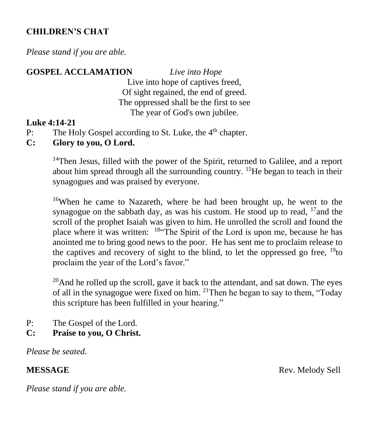#### **CHILDREN'S CHAT**

*Please stand if you are able.*

#### **GOSPEL ACCLAMATION** *Live into Hope*

Live into hope of captives freed, Of sight regained, the end of greed. The oppressed shall be the first to see The year of God's own jubilee.

#### **Luke 4:14-21**

- P: The Holy Gospel according to St. Luke, the 4<sup>th</sup> chapter.
- **C: Glory to you, O Lord.**

<sup>14</sup>Then Jesus, filled with the power of the Spirit, returned to Galilee, and a report about him spread through all the surrounding country. <sup>15</sup>He began to teach in their synagogues and was praised by everyone.

<sup>16</sup>When he came to Nazareth, where he had been brought up, he went to the synagogue on the sabbath day, as was his custom. He stood up to read,  $^{17}$  and the scroll of the prophet Isaiah was given to him. He unrolled the scroll and found the place where it was written: <sup>18"</sup>The Spirit of the Lord is upon me, because he has anointed me to bring good news to the poor. He has sent me to proclaim release to the captives and recovery of sight to the blind, to let the oppressed go free,  $^{19}$ to proclaim the year of the Lord's favor."

 $20$ And he rolled up the scroll, gave it back to the attendant, and sat down. The eyes of all in the synagogue were fixed on him. <sup>21</sup>Then he began to say to them, "Today this scripture has been fulfilled in your hearing."

- P: The Gospel of the Lord.
- **C: Praise to you, O Christ.**

*Please be seated.*

*Please stand if you are able.*

**MESSAGE** Rev. Melody Sell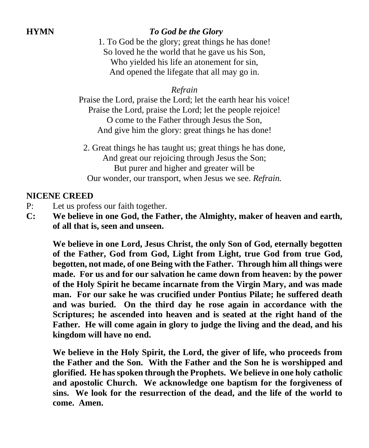#### **HYMN** *To God be the Glory*

1. To God be the glory; great things he has done! So loved he the world that he gave us his Son, Who yielded his life an atonement for sin, And opened the lifegate that all may go in.

#### *Refrain*

Praise the Lord, praise the Lord; let the earth hear his voice! Praise the Lord, praise the Lord; let the people rejoice! O come to the Father through Jesus the Son, And give him the glory: great things he has done!

2. Great things he has taught us; great things he has done, And great our rejoicing through Jesus the Son; But purer and higher and greater will be Our wonder, our transport, when Jesus we see. *Refrain.*

#### **NICENE CREED**

- P: Let us profess our faith together.
- **C: We believe in one God, the Father, the Almighty, maker of heaven and earth, of all that is, seen and unseen.**

**We believe in one Lord, Jesus Christ, the only Son of God, eternally begotten of the Father, God from God, Light from Light, true God from true God, begotten, not made, of one Being with the Father. Through him all things were made. For us and for our salvation he came down from heaven: by the power of the Holy Spirit he became incarnate from the Virgin Mary, and was made man. For our sake he was crucified under Pontius Pilate; he suffered death and was buried. On the third day he rose again in accordance with the Scriptures; he ascended into heaven and is seated at the right hand of the Father. He will come again in glory to judge the living and the dead, and his kingdom will have no end.** 

**We believe in the Holy Spirit, the Lord, the giver of life, who proceeds from the Father and the Son. With the Father and the Son he is worshipped and glorified. He has spoken through the Prophets. We believe in one holy catholic and apostolic Church. We acknowledge one baptism for the forgiveness of sins. We look for the resurrection of the dead, and the life of the world to come. Amen.**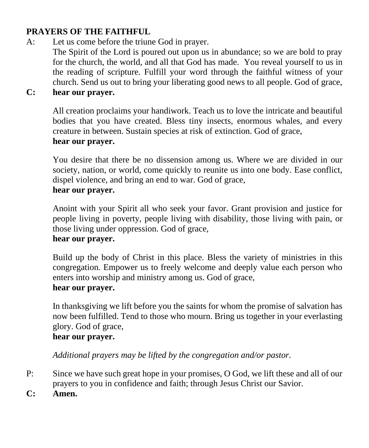# **PRAYERS OF THE FAITHFUL**

A: Let us come before the triune God in prayer.

The Spirit of the Lord is poured out upon us in abundance; so we are bold to pray for the church, the world, and all that God has made. You reveal yourself to us in the reading of scripture. Fulfill your word through the faithful witness of your church. Send us out to bring your liberating good news to all people. God of grace,

#### **C: hear our prayer.**

All creation proclaims your handiwork. Teach us to love the intricate and beautiful bodies that you have created. Bless tiny insects, enormous whales, and every creature in between. Sustain species at risk of extinction. God of grace, **hear our prayer.**

You desire that there be no dissension among us. Where we are divided in our society, nation, or world, come quickly to reunite us into one body. Ease conflict, dispel violence, and bring an end to war. God of grace, **hear our prayer.**

Anoint with your Spirit all who seek your favor. Grant provision and justice for people living in poverty, people living with disability, those living with pain, or those living under oppression. God of grace,

#### **hear our prayer.**

Build up the body of Christ in this place. Bless the variety of ministries in this congregation. Empower us to freely welcome and deeply value each person who enters into worship and ministry among us. God of grace, **hear our prayer.**

In thanksgiving we lift before you the saints for whom the promise of salvation has now been fulfilled. Tend to those who mourn. Bring us together in your everlasting glory. God of grace,

#### **hear our prayer.**

*Additional prayers may be lifted by the congregation and/or pastor.*

- P: Since we have such great hope in your promises, O God, we lift these and all of our prayers to you in confidence and faith; through Jesus Christ our Savior.
- **C: Amen.**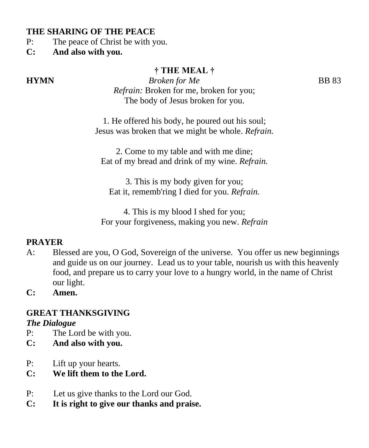#### **THE SHARING OF THE PEACE**

#### P: The peace of Christ be with you.

#### **C: And also with you.**

#### **† THE MEAL †**

**HYMN** *Broken for Me* **BB 83** *Refrain:* Broken for me, broken for you; The body of Jesus broken for you.

1. He offered his body, he poured out his soul; Jesus was broken that we might be whole. *Refrain.*

2. Come to my table and with me dine; Eat of my bread and drink of my wine. *Refrain.*

3. This is my body given for you; Eat it, rememb'ring I died for you. *Refrain.*

4. This is my blood I shed for you; For your forgiveness, making you new. *Refrain*

#### **PRAYER**

- A: Blessed are you, O God, Sovereign of the universe. You offer us new beginnings and guide us on our journey. Lead us to your table, nourish us with this heavenly food, and prepare us to carry your love to a hungry world, in the name of Christ our light.
- **C: Amen.**

#### **GREAT THANKSGIVING**

#### *The Dialogue*

- P: The Lord be with you.
- **C: And also with you.**
- P: Lift up your hearts.
- **C: We lift them to the Lord.**
- P: Let us give thanks to the Lord our God.
- **C: It is right to give our thanks and praise.**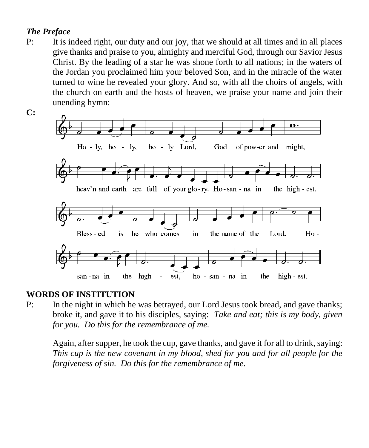#### *The Preface*

P: It is indeed right, our duty and our joy, that we should at all times and in all places give thanks and praise to you, almighty and merciful God, through our Savior Jesus Christ. By the leading of a star he was shone forth to all nations; in the waters of the Jordan you proclaimed him your beloved Son, and in the miracle of the water turned to wine he revealed your glory. And so, with all the choirs of angels, with the church on earth and the hosts of heaven, we praise your name and join their unending hymn:





of pow-er and might,

God

#### **WORDS OF INSTITUTION**

P: In the night in which he was betrayed, our Lord Jesus took bread, and gave thanks; broke it, and gave it to his disciples, saying: *Take and eat; this is my body, given for you. Do this for the remembrance of me.* 

Again, after supper, he took the cup, gave thanks, and gave it for all to drink, saying: *This cup is the new covenant in my blood, shed for you and for all people for the forgiveness of sin. Do this for the remembrance of me.*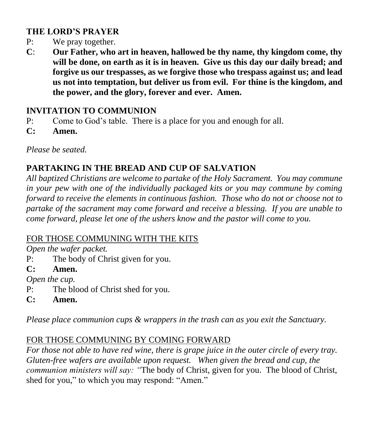# **THE LORD'S PRAYER**

- P: We pray together.
- **C**: **Our Father, who art in heaven, hallowed be thy name, thy kingdom come, thy will be done, on earth as it is in heaven. Give us this day our daily bread; and forgive us our trespasses, as we forgive those who trespass against us; and lead us not into temptation, but deliver us from evil. For thine is the kingdom, and the power, and the glory, forever and ever. Amen.**

# **INVITATION TO COMMUNION**

- P: Come to God's table. There is a place for you and enough for all.
- **C: Amen.**

*Please be seated.* 

# **PARTAKING IN THE BREAD AND CUP OF SALVATION**

*All baptized Christians are welcome to partake of the Holy Sacrament. You may commune in your pew with one of the individually packaged kits or you may commune by coming forward to receive the elements in continuous fashion. Those who do not or choose not to partake of the sacrament may come forward and receive a blessing. If you are unable to come forward, please let one of the ushers know and the pastor will come to you.* 

# FOR THOSE COMMUNING WITH THE KITS

*Open the wafer packet.*

- P: The body of Christ given for you.
- **C: Amen.**

*Open the cup.*

- P: The blood of Christ shed for you.
- **C: Amen.**

*Please place communion cups & wrappers in the trash can as you exit the Sanctuary.*

# FOR THOSE COMMUNING BY COMING FORWARD

*For those not able to have red wine, there is grape juice in the outer circle of every tray. Gluten-free wafers are available upon request. When given the bread and cup, the communion ministers will say: "*The body of Christ, given for you. The blood of Christ, shed for you," to which you may respond: "Amen."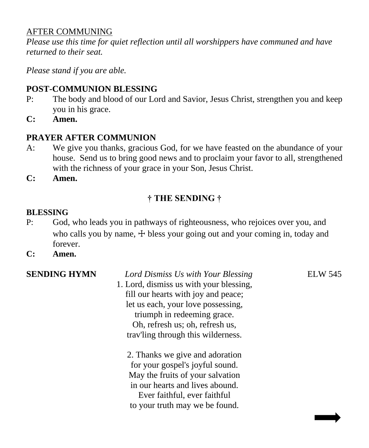#### AFTER COMMUNING

*Please use this time for quiet reflection until all worshippers have communed and have returned to their seat.*

*Please stand if you are able.*

# **POST-COMMUNION BLESSING**

- P: The body and blood of our Lord and Savior, Jesus Christ, strengthen you and keep you in his grace.
- **C: Amen.**

#### **PRAYER AFTER COMMUNION**

A: We give you thanks, gracious God, for we have feasted on the abundance of your house. Send us to bring good news and to proclaim your favor to all, strengthened with the richness of your grace in your Son, Jesus Christ.

**C: Amen.** 

# **† THE SENDING †**

#### **BLESSING**

P: God, who leads you in pathways of righteousness, who rejoices over you, and who calls you by name,  $\pm$  bless your going out and your coming in, today and forever.

**C: Amen.**

| <b>SENDING HYMN</b> | Lord Dismiss Us with Your Blessing<br>1. Lord, dismiss us with your blessing,<br>fill our hearts with joy and peace;<br>let us each, your love possessing,<br>triumph in redeeming grace.<br>Oh, refresh us; oh, refresh us,<br>trav'ling through this wilderness. | <b>ELW 545</b> |
|---------------------|--------------------------------------------------------------------------------------------------------------------------------------------------------------------------------------------------------------------------------------------------------------------|----------------|
|                     | 2. Thanks we give and adoration<br>for your gospel's joyful sound.<br>May the fruits of your salvation<br>in our hearts and lives abound.<br>Ever faithful, ever faithful<br>to your truth may we be found.                                                        |                |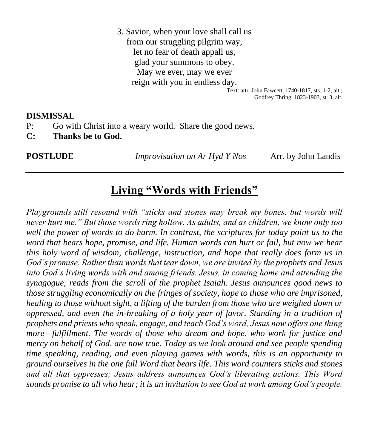3. Savior, when your love shall call us from our struggling pilgrim way, let no fear of death appall us, glad your summons to obey. May we ever, may we ever reign with you in endless day. Text: attr. John Fawcett, 1740-1817, sts. 1-2, alt.; Godfrey Thring, 1823-1903, st. 3, alt.

#### **DISMISSAL**

- P: Go with Christ into a weary world. Share the good news.
- **C: Thanks be to God.**

**POSTLUDE** *Improvisation on Ar Hyd Y Nos* Arr. by John Landis

# **Living "Words with Friends"**

*Playgrounds still resound with "sticks and stones may break my bones, but words will never hurt me." But those words ring hollow. As adults, and as children, we know only too well the power of words to do harm. In contrast, the scriptures for today point us to the word that bears hope, promise, and life. Human words can hurt or fail, but now we hear this holy word of wisdom, challenge, instruction, and hope that really does form us in God's promise. Rather than words that tear down, we are invited by the prophets and Jesus into God's living words with and among friends. Jesus, in coming home and attending the synagogue, reads from the scroll of the prophet Isaiah. Jesus announces good news to those struggling economically on the fringes of society, hope to those who are imprisoned, healing to those without sight, a lifting of the burden from those who are weighed down or oppressed, and even the in-breaking of a holy year of favor. Standing in a tradition of prophets and priests who speak, engage, and teach God's word, Jesus now offers one thing more—fulfillment. The words of those who dream and hope, who work for justice and mercy on behalf of God, are now true. Today as we look around and see people spending time speaking, reading, and even playing games with words, this is an opportunity to ground ourselves in the one full Word that bears life. This word counters sticks and stones and all that oppresses; Jesus address announces God's liberating actions. This Word sounds promise to all who hear; it is an invitation to see God at work among God's people.*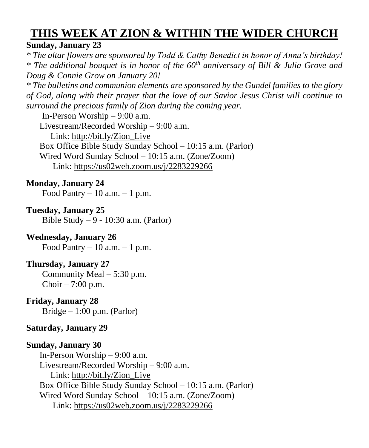# **THIS WEEK AT ZION & WITHIN THE WIDER CHURCH**

# **Sunday, January 23**

*\* The altar flowers are sponsored by Todd & Cathy Benedict in honor of Anna's birthday! \* The additional bouquet is in honor of the 60th anniversary of Bill & Julia Grove and Doug & Connie Grow on January 20!*

*\* The bulletins and communion elements are sponsored by the Gundel families to the glory of God, along with their prayer that the love of our Savior Jesus Christ will continue to surround the precious family of Zion during the coming year.* 

In-Person Worship – 9:00 a.m.

Livestream/Recorded Worship – 9:00 a.m.

Link: [http://bit.ly/Zion\\_Live](http://bit.ly/Zion_Live)

Box Office Bible Study Sunday School – 10:15 a.m. (Parlor)

Wired Word Sunday School – 10:15 a.m. (Zone/Zoom)

Link: <https://us02web.zoom.us/j/2283229266>

# **Monday, January 24**

Food Pantry  $-10$  a.m.  $-1$  p.m.

# **Tuesday, January 25**

Bible Study – 9 - 10:30 a.m. (Parlor)

# **Wednesday, January 26**

Food Pantry  $-10$  a.m.  $-1$  p.m.

# **Thursday, January 27**

Community Meal – 5:30 p.m. Choir – 7:00 p.m.

# **Friday, January 28**

Bridge – 1:00 p.m. (Parlor)

# **Saturday, January 29**

# **Sunday, January 30**

 In-Person Worship – 9:00 a.m. Livestream/Recorded Worship – 9:00 a.m. Link: [http://bit.ly/Zion\\_Live](http://bit.ly/Zion_Live) Box Office Bible Study Sunday School – 10:15 a.m. (Parlor) Wired Word Sunday School – 10:15 a.m. (Zone/Zoom) Link: <https://us02web.zoom.us/j/2283229266>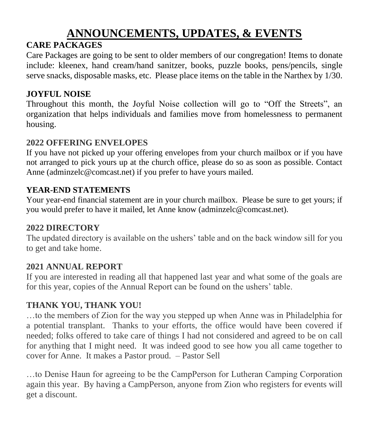# **ANNOUNCEMENTS, UPDATES, & EVENTS**

# **CARE PACKAGES**

Care Packages are going to be sent to older members of our congregation! Items to donate include: kleenex, hand cream/hand sanitzer, books, puzzle books, pens/pencils, single serve snacks, disposable masks, etc. Please place items on the table in the Narthex by 1/30.

# **JOYFUL NOISE**

Throughout this month, the Joyful Noise collection will go to "Off the Streets", an organization that helps individuals and families move from homelessness to permanent housing.

# **2022 OFFERING ENVELOPES**

If you have not picked up your offering envelopes from your church mailbox or if you have not arranged to pick yours up at the church office, please do so as soon as possible. Contact Anne [\(adminzelc@comcast.net\)](mailto:adminzelc@comcast.net) if you prefer to have yours mailed.

# **YEAR-END STATEMENTS**

Your year-end financial statement are in your church mailbox. Please be sure to get yours; if you would prefer to have it mailed, let Anne know (adminzelc@comcast.net).

#### **2022 DIRECTORY**

The updated directory is available on the ushers' table and on the back window sill for you to get and take home.

# **2021 ANNUAL REPORT**

If you are interested in reading all that happened last year and what some of the goals are for this year, copies of the Annual Report can be found on the ushers' table.

# **THANK YOU, THANK YOU!**

…to the members of Zion for the way you stepped up when Anne was in Philadelphia for a potential transplant. Thanks to your efforts, the office would have been covered if needed; folks offered to take care of things I had not considered and agreed to be on call for anything that I might need. It was indeed good to see how you all came together to cover for Anne. It makes a Pastor proud. – Pastor Sell

…to Denise Haun for agreeing to be the CampPerson for Lutheran Camping Corporation again this year. By having a CampPerson, anyone from Zion who registers for events will get a discount.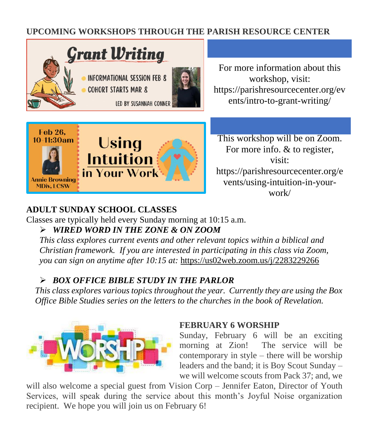# **UPCOMING WORKSHOPS THROUGH THE PARISH RESOURCE CENTER**



# **ADULT SUNDAY SCHOOL CLASSES**

Classes are typically held every Sunday morning at 10:15 a.m.

# ➢ *WIRED WORD IN THE ZONE & ON ZOOM*

*This class explores current events and other relevant topics within a biblical and Christian framework. If you are interested in participating in this class via Zoom, you can sign on anytime after 10:15 at:* <https://us02web.zoom.us/j/2283229266>

# ➢ *BOX OFFICE BIBLE STUDY IN THE PARLOR*

*This class explores various topics throughout the year. Currently they are using the Box Office Bible Studies series on the letters to the churches in the book of Revelation.* 



#### **FEBRUARY 6 WORSHIP**

Sunday, February 6 will be an exciting morning at Zion! The service will be contemporary in style – there will be worship leaders and the band; it is Boy Scout Sunday – we will welcome scouts from Pack 37; and, we

will also welcome a special guest from Vision Corp – Jennifer Eaton, Director of Youth Services, will speak during the service about this month's Joyful Noise organization recipient. We hope you will join us on February 6!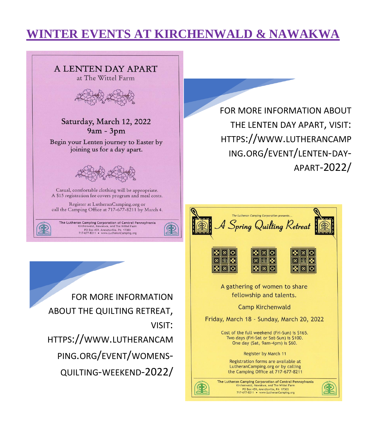# **WINTER EVENTS AT KIRCHENWALD & NAWAKWA**

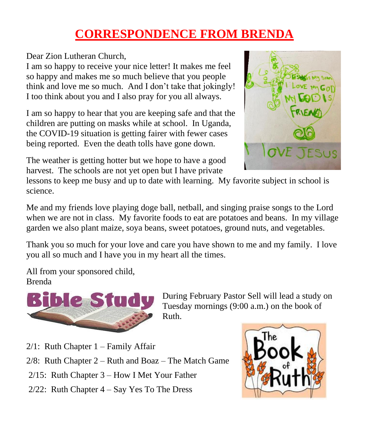# **CORRESPONDENCE FROM BRENDA**

Dear Zion Lutheran Church,

I am so happy to receive your nice letter! It makes me feel so happy and makes me so much believe that you people think and love me so much. And I don't take that jokingly! I too think about you and I also pray for you all always.

I am so happy to hear that you are keeping safe and that the children are putting on masks while at school. In Uganda, the COVID-19 situation is getting fairer with fewer cases being reported. Even the death tolls have gone down.

The weather is getting hotter but we hope to have a good harvest. The schools are not yet open but I have private

lessons to keep me busy and up to date with learning. My favorite subject in school is science.

Me and my friends love playing doge ball, netball, and singing praise songs to the Lord when we are not in class. My favorite foods to eat are potatoes and beans. In my village garden we also plant maize, soya beans, sweet potatoes, ground nuts, and vegetables.

Thank you so much for your love and care you have shown to me and my family. I love you all so much and I have you in my heart all the times.

All from your sponsored child, Brenda



During February Pastor Sell will lead a study on Tuesday mornings (9:00 a.m.) on the book of Ruth.

- 2/1: Ruth Chapter 1 Family Affair
- 2/8: Ruth Chapter 2 Ruth and Boaz The Match Game
- 2/15: Ruth Chapter 3 How I Met Your Father
- 2/22: Ruth Chapter 4 Say Yes To The Dress



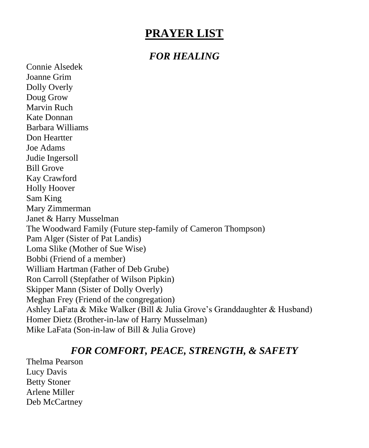# **PRAYER LIST**

# *FOR HEALING*

Connie Alsedek Joanne Grim Dolly Overly Doug Grow Marvin Ruch Kate Donnan Barbara Williams Don Heartter Joe Adams Judie Ingersoll Bill Grove Kay Crawford Holly Hoover Sam King Mary Zimmerman Janet & Harry Musselman The Woodward Family (Future step-family of Cameron Thompson) Pam Alger (Sister of Pat Landis) Loma Slike (Mother of Sue Wise) Bobbi (Friend of a member) William Hartman (Father of Deb Grube) Ron Carroll (Stepfather of Wilson Pipkin) Skipper Mann (Sister of Dolly Overly) Meghan Frey (Friend of the congregation) Ashley LaFata & Mike Walker (Bill & Julia Grove's Granddaughter & Husband) Homer Dietz (Brother-in-law of Harry Musselman) Mike LaFata (Son-in-law of Bill & Julia Grove)

# *FOR COMFORT, PEACE, STRENGTH, & SAFETY*

Thelma Pearson Lucy Davis Betty Stoner Arlene Miller Deb McCartney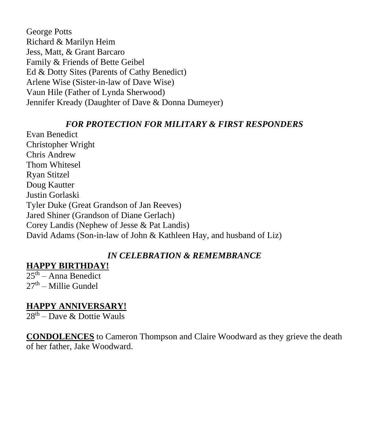George Potts Richard & Marilyn Heim Jess, Matt, & Grant Barcaro Family & Friends of Bette Geibel Ed & Dotty Sites (Parents of Cathy Benedict) Arlene Wise (Sister-in-law of Dave Wise) Vaun Hile (Father of Lynda Sherwood) Jennifer Kready (Daughter of Dave & Donna Dumeyer)

#### *FOR PROTECTION FOR MILITARY & FIRST RESPONDERS*

Evan Benedict Christopher Wright Chris Andrew Thom Whitesel Ryan Stitzel Doug Kautter Justin Gorlaski Tyler Duke (Great Grandson of Jan Reeves) Jared Shiner (Grandson of Diane Gerlach) Corey Landis (Nephew of Jesse & Pat Landis) David Adams (Son-in-law of John & Kathleen Hay, and husband of Liz)

#### *IN CELEBRATION & REMEMBRANCE*

#### **HAPPY BIRTHDAY!**

25<sup>th</sup> – Anna Benedict 27<sup>th</sup> – Millie Gundel

#### **HAPPY ANNIVERSARY!**

28<sup>th</sup> – Dave & Dottie Wauls

**CONDOLENCES** to Cameron Thompson and Claire Woodward as they grieve the death of her father, Jake Woodward.